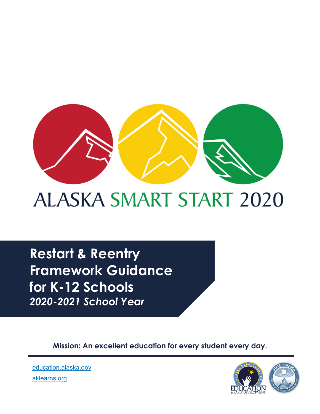

# **ALASKA SMART START 2020**

**Restart & Reentry Framework Guidance for K-12 Schools**  *2020-2021 School Year*

**Mission: An excellent education for every student every day.**



[education.alaska.gov](https://education.alaska.gov/) [aklearns.org](https://aklearns.org/)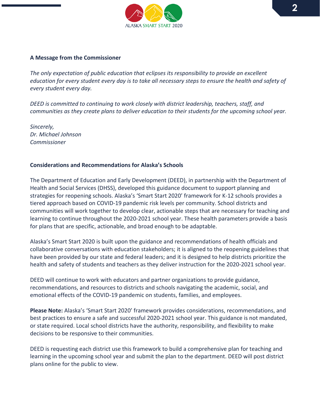

#### **A Message from the Commissioner**

*The only expectation of public education that eclipses its responsibility to provide an excellent education for every student every day is to take all necessary steps to ensure the health and safety of every student every day.*

*DEED is committed to continuing to work closely with district leadership, teachers, staff, and communities as they create plans to deliver education to their students for the upcoming school year.* 

*Sincerely, Dr. Michael Johnson Commissioner*

#### **Considerations and Recommendations for Alaska's Schools**

The Department of Education and Early Development (DEED), in partnership with the Department of Health and Social Services (DHSS), developed this guidance document to support planning and strategies for reopening schools. Alaska's 'Smart Start 2020' framework for K-12 schools provides a tiered approach based on COVID-19 pandemic risk levels per community. School districts and communities will work together to develop clear, actionable steps that are necessary for teaching and learning to continue throughout the 2020-2021 school year. These health parameters provide a basis for plans that are specific, actionable, and broad enough to be adaptable.

Alaska's Smart Start 2020 is built upon the guidance and recommendations of health officials and collaborative conversations with education stakeholders; it is aligned to the reopening guidelines that have been provided by our state and federal leaders; and it is designed to help districts prioritize the health and safety of students and teachers as they deliver instruction for the 2020-2021 school year.

DEED will continue to work with educators and partner organizations to provide guidance, recommendations, and resources to districts and schools navigating the academic, social, and emotional effects of the COVID-19 pandemic on students, families, and employees.

**Please Note:** Alaska's 'Smart Start 2020' framework provides considerations, recommendations, and best practices to ensure a safe and successful 2020-2021 school year. This guidance is not mandated, or state required. Local school districts have the authority, responsibility, and flexibility to make decisions to be responsive to their communities.

DEED is requesting each district use this framework to build a comprehensive plan for teaching and learning in the upcoming school year and submit the plan to the department. DEED will post district plans online for the public to view.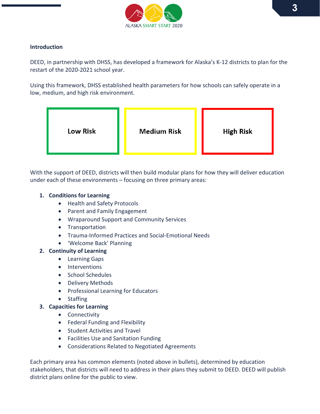

# **Introduction**

DEED, in partnership with DHSS, has developed a framework for Alaska's K-12 districts to plan for the restart of the 2020-2021 school year.

Using this framework, DHSS established health parameters for how schools can safely operate in a low, medium, and high risk environment.



With the support of DEED, districts will then build modular plans for how they will deliver education under each of these environments – focusing on three primary areas:

#### **1. Conditions for Learning**

- Health and Safety Protocols
- Parent and Family Engagement
- Wraparound Support and Community Services
- Transportation
- Trauma-Informed Practices and Social-Emotional Needs
- 'Welcome Back' Planning

#### **2. Continuity of Learning**

- Learning Gaps
- Interventions
- School Schedules
- Delivery Methods
- Professional Learning for Educators
- Staffing

# **3. Capacities for Learning**

- Connectivity
- Federal Funding and Flexibility
- Student Activities and Travel
- Facilities Use and Sanitation Funding
- Considerations Related to Negotiated Agreements

Each primary area has common elements (noted above in bullets), determined by education stakeholders, that districts will need to address in their plans they submit to DEED. DEED will publish district plans online for the public to view.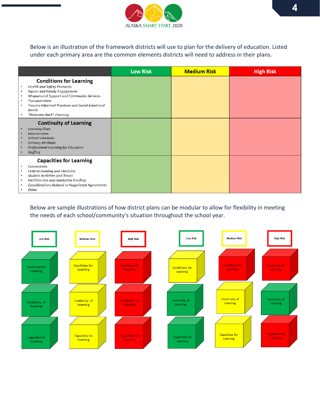

Below is an illustration of the framework districts will use to plan for the delivery of education. Listed under each primary area are the common elements districts will need to address in their plans.

|                                                                                                                                                                                                                                                                                                               | <b>Low Risk</b> | <b>Medium Risk</b> | <b>High Risk</b> |
|---------------------------------------------------------------------------------------------------------------------------------------------------------------------------------------------------------------------------------------------------------------------------------------------------------------|-----------------|--------------------|------------------|
| <b>Conditions for Learning</b><br><b>Health and Safety Protocols</b><br>$\bullet$<br>Parent and Family Engagement<br>$\bullet$<br>Wraparound Support and Community Services<br>$\bullet$<br>Transportation<br>$\bullet$<br>Trauma-Informed Practices and Social-Emotional<br>Needs<br>"Welcome Back" Planning |                 |                    |                  |
| <b>Continuity of Learning</b><br><b>Learning Gaps</b><br><b>Interventions</b><br>School Schedules<br><b>Delivery Methods</b><br>Professional Learning for Educators<br><b>Staffing</b>                                                                                                                        |                 |                    |                  |
| <b>Capacities for Learning</b><br>Connectivity<br>$\bullet$<br>Federal Funding and Flexibility<br>$\bullet$<br><b>Student Activities and Travel</b><br>$\bullet$<br>Facilities Use and Sanitation Funding<br>$\bullet$<br><b>Considerations Related to Negotiated Agreements</b><br>Other                     |                 |                    |                  |

Below are sample illustrations of how district plans can be modular to allow for flexibility in meeting the needs of each school/community's situation throughout the school year.

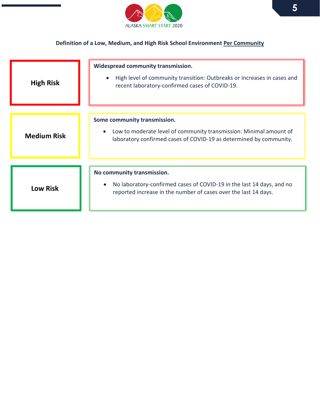

# **Definition of a Low, Medium, and High Risk School Environment Per Community**

| <b>High Risk</b>   | <b>Widespread community transmission.</b><br>High level of community transition: Outbreaks or increases in cases and<br>$\bullet$<br>recent laboratory-confirmed cases of COVID-19. |
|--------------------|-------------------------------------------------------------------------------------------------------------------------------------------------------------------------------------|
| <b>Medium Risk</b> | Some community transmission.<br>Low to moderate level of community transmission: Minimal amount of<br>laboratory confirmed cases of COVID-19 as determined by community.            |
| <b>Low Risk</b>    | No community transmission.<br>No laboratory-confirmed cases of COVID-19 in the last 14 days, and no<br>reported increase in the number of cases over the last 14 days.              |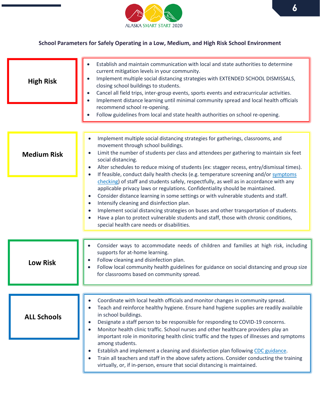

# **School Parameters for Safely Operating in a Low, Medium, and High Risk School Environment**

| <b>High Risk</b>   | Establish and maintain communication with local and state authorities to determine<br>current mitigation levels in your community.<br>Implement multiple social distancing strategies with EXTENDED SCHOOL DISMISSALS,<br>closing school buildings to students.<br>Cancel all field trips, inter-group events, sports events and extracurricular activities.<br>Implement distance learning until minimal community spread and local health officials<br>recommend school re-opening.<br>Follow guidelines from local and state health authorities on school re-opening.<br>$\bullet$                                                                                                                                                                                                                                                                                                                                                                                                                                                                   |
|--------------------|---------------------------------------------------------------------------------------------------------------------------------------------------------------------------------------------------------------------------------------------------------------------------------------------------------------------------------------------------------------------------------------------------------------------------------------------------------------------------------------------------------------------------------------------------------------------------------------------------------------------------------------------------------------------------------------------------------------------------------------------------------------------------------------------------------------------------------------------------------------------------------------------------------------------------------------------------------------------------------------------------------------------------------------------------------|
| <b>Medium Risk</b> | Implement multiple social distancing strategies for gatherings, classrooms, and<br>$\bullet$<br>movement through school buildings.<br>Limit the number of students per class and attendees per gathering to maintain six feet<br>$\bullet$<br>social distancing.<br>Alter schedules to reduce mixing of students (ex: stagger recess, entry/dismissal times).<br>$\bullet$<br>If feasible, conduct daily health checks (e.g. temperature screening and/or symptoms<br>$\bullet$<br>checking) of staff and students safely, respectfully, as well as in accordance with any<br>applicable privacy laws or regulations. Confidentiality should be maintained.<br>Consider distance learning in some settings or with vulnerable students and staff.<br>$\bullet$<br>Intensify cleaning and disinfection plan.<br>$\bullet$<br>Implement social distancing strategies on buses and other transportation of students.<br>Have a plan to protect vulnerable students and staff, those with chronic conditions,<br>special health care needs or disabilities. |
| <b>Low Risk</b>    | Consider ways to accommodate needs of children and families at high risk, including<br>supports for at-home learning.<br>Follow cleaning and disinfection plan.<br>Follow local community health guidelines for guidance on social distancing and group size<br>for classrooms based on community spread.                                                                                                                                                                                                                                                                                                                                                                                                                                                                                                                                                                                                                                                                                                                                               |
| <b>ALL Schools</b> | Coordinate with local health officials and monitor changes in community spread.<br>Teach and reinforce healthy hygiene. Ensure hand hygiene supplies are readily available<br>in school buildings.<br>Designate a staff person to be responsible for responding to COVID-19 concerns.<br>0<br>Monitor health clinic traffic. School nurses and other healthcare providers play an<br>important role in monitoring health clinic traffic and the types of illnesses and symptoms<br>among students.<br>Establish and implement a cleaning and disinfection plan following CDC guidance.<br>$\bullet$<br>Train all teachers and staff in the above safety actions. Consider conducting the training<br>$\bullet$<br>virtually, or, if in-person, ensure that social distancing is maintained.                                                                                                                                                                                                                                                             |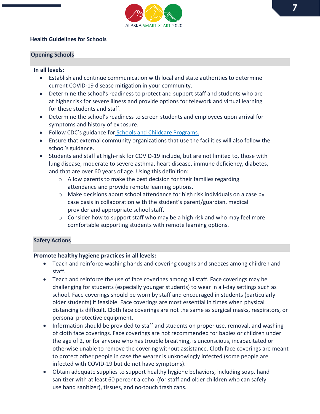

#### **Health Guidelines for Schools**

#### **Opening Schools**

#### **In all levels:**

- Establish and continue communication with local and state authorities to determine current COVID-19 disease mitigation in your community.
- Determine the school's readiness to protect and support staff and students who are at higher risk for severe illness and provide options for telework and virtual learning for these students and staff.
- Determine the school's readiness to screen students and employees upon arrival for symptoms and history of exposure.
- Follow CDC's guidance for [Schools and Childcare](https://www.cdc.gov/coronavirus/2019-ncov/community/schools-childcare/schools.html) Programs.
- Ensure that external community organizations that use the facilities will also follow the school's guidance.
- Students and staff at high-risk for COVID-19 include, but are not limited to, those with lung disease, moderate to severe asthma, heart disease, immune deficiency, diabetes, and that are over 60 years of age. Using this definition:
	- o Allow parents to make the best decision for their families regarding attendance and provide remote learning options.
	- $\circ$  Make decisions about school attendance for high risk individuals on a case by case basis in collaboration with the student's parent/guardian, medical provider and appropriate school staff.
	- $\circ$  Consider how to support staff who may be a high risk and who may feel more comfortable supporting students with remote learning options.

# **Safety Actions**

#### **Promote healthy hygiene practices in all levels:**

- Teach and reinforce washing hands and covering coughs and sneezes among children and staff.
- Teach and reinforce the use of face coverings among all staff. Face coverings may be challenging for students (especially younger students) to wear in all-day settings such as school. Face coverings should be worn by staff and encouraged in students (particularly older students) if feasible. Face coverings are most essential in times when physical distancing is difficult. Cloth face coverings are not the same as surgical masks, respirators, or personal protective equipment.
- Information should be provided to staff and students on proper use, removal, and washing of cloth face coverings. Face coverings are not recommended for babies or children under the age of 2, or for anyone who has trouble breathing, is unconscious, incapacitated or otherwise unable to remove the covering without assistance. Cloth face coverings are meant to protect other people in case the wearer is unknowingly infected (some people are infected with COVID-19 but do not have symptoms).
- Obtain adequate supplies to support healthy hygiene behaviors, including soap, hand sanitizer with at least 60 percent alcohol (for staff and older children who can safely use hand sanitizer), tissues, and no-touch trash cans.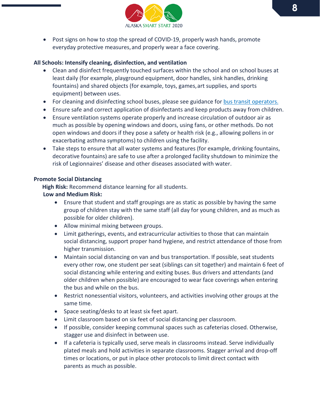

• Post signs on how to stop the spread of COVID-19, properly wash hands, promote everyday protective measures,and properly wear a face covering.

#### **All Schools: Intensify cleaning, disinfection, and ventilation**

- Clean and disinfect frequently touched surfaces within the school and on school buses at least daily (for example, playground equipment, door handles, sink handles, drinking fountains) and shared objects (for example, toys, games,art supplies, and sports equipment) between uses.
- For cleaning and disinfecting school buses, please see guidance fo[r bus transit](https://www.cdc.gov/coronavirus/2019-ncov/community/organizations/bus-transit-operator.html) operators.
- Ensure safe and correct application of disinfectants and keep products away from children.
- Ensure ventilation systems operate properly and increase circulation of outdoor air as much as possible by opening windows and doors, using fans, or other methods. Do not open windows and doors if they pose a safety or health risk (e.g., allowing pollens in or exacerbating asthma symptoms) to children using the facility.
- Take steps to ensure that all water systems and features (for example, drinking fountains, decorative fountains) are safe to use after a prolonged facility shutdown to minimize the risk of Legionnaires' disease and other diseases associated with water.

# **Promote Social Distancing**

 **High Risk:** Recommend distance learning for all students.

#### **Low and Medium Risk:**

- Ensure that student and staff groupings are as static as possible by having the same group of children stay with the same staff (all day for young children, and as much as possible for older children).
- Allow minimal mixing between groups.
- Limit gatherings, events, and extracurricular activities to those that can maintain social distancing, support proper hand hygiene, and restrict attendance of those from higher transmission.
- Maintain social distancing on van and bus transportation. If possible, seat students every other row, one student per seat (siblings can sit together) and maintain 6 feet of social distancing while entering and exiting buses. Bus drivers and attendants (and older children when possible) are encouraged to wear face coverings when entering the bus and while on the bus.
- Restrict nonessential visitors, volunteers, and activities involving other groups at the same time.
- Space seating/desks to at least six feet apart.
- Limit classroom based on six feet of social distancing per classroom.
- If possible, consider keeping communal spaces such as cafeterias closed. Otherwise, stagger use and disinfect in between use.
- If a cafeteria is typically used, serve meals in classrooms instead. Serve individually plated meals and hold activities in separate classrooms. Stagger arrival and drop-off times or locations, or put in place other protocols to limit direct contact with parents as much as possible.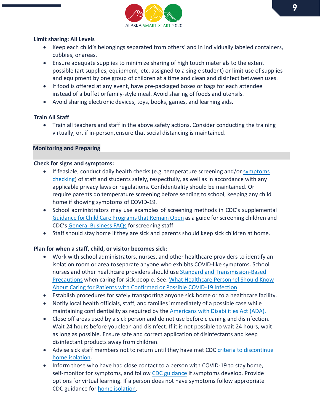

#### **Limit sharing: All Levels**

- Keep each child's belongings separated from others' and in individually labeled containers, cubbies, or areas.
- Ensure adequate supplies to minimize sharing of high touch materials to the extent possible (art supplies, equipment, etc. assigned to a single student) or limit use of supplies and equipment by one group of children at a time and clean and disinfect between uses.
- If food is offered at any event, have pre-packaged boxes or bags for each attendee instead of a buffet orfamily-style meal. Avoid sharing of foods and utensils.
- Avoid sharing electronic devices, toys, books, games, and learning aids.

# **Train All Staff**

• Train all teachers and staff in the above safety actions. Consider conducting the training virtually, or, if in-person,ensure that social distancing is maintained.

# **Monitoring and Preparing**

#### **Check for signs and symptoms:**

- If feasible, conduct daily health checks (e.g. temperature screening and/or symptoms [checking\)](https://www.cdc.gov/coronavirus/2019-ncov/symptoms-testing/symptoms.html?CDC_AA_refVal=https%3A%2F%2Fwww.cdc.gov%2Fcoronavirus%2F2019-ncov%2Fabout%2Fsymptoms.html) of staff and students safely, respectfully, as well as in accordance with any applicable privacy laws or regulations. Confidentiality should be maintained. Or require parents do temperature screening before sending to school, keeping any child home if showing symptoms of COVID-19.
- School administrators may use examples of screening methods in CDC's supplemental [Guidance forChild Care Programs that Remain Open](https://www.cdc.gov/coronavirus/2019-ncov/community/schools-childcare/guidance-for-childcare.html) as a guide for screening children and CDC's [General Business FAQs](https://www.cdc.gov/coronavirus/2019-ncov/community/guidance-business-response.html) forscreening staff.
- Staff should stay home if they are sick and parents should keep sick children at home.

# **Plan for when a staff, child, or visitor becomes sick:**

- Work with school administrators, nurses, and other healthcare providers to identify an isolation room or area toseparate anyone who exhibits COVID-like symptoms. School nurses and other healthcare providers should us[e Standard and Transmission-Based](https://www.cdc.gov/infectioncontrol/basics/transmission-based-precautions.html)  [Precautions](https://www.cdc.gov/infectioncontrol/basics/transmission-based-precautions.html) when caring for sick people. See: [What Healthcare Personnel Should Know](https://www.cdc.gov/coronavirus/2019-nCoV/hcp/index.html?CDC_AA_refVal=https%3A%2F%2Fwww.cdc.gov%2Fcoronavirus%2F2019-ncov%2Fhcp%2Fcaring-for-patients.html)  [About Caring for Patients with Confirmed or Possible COVID-19 Infection.](https://www.cdc.gov/coronavirus/2019-nCoV/hcp/index.html?CDC_AA_refVal=https%3A%2F%2Fwww.cdc.gov%2Fcoronavirus%2F2019-ncov%2Fhcp%2Fcaring-for-patients.html)
- Establish procedures for safely transporting anyone sick home or to a healthcare facility.
- Notify local health officials, staff, and families immediately of a possible case while maintaining confidentiality as required by the [Americans with Disabilities Act](https://www.ada.gov/) (ADA).
- Close off areas used by a sick person and do not use before cleaning and disinfection. Wait 24 hours before youclean and disinfect. If it is not possible to wait 24 hours, wait as long as possible. Ensure safe and correct application of disinfectants and keep disinfectant products away from children.
- Advise sick staff members not to return until they have met CDC criteria to discontinue [home isolation.](https://www.cdc.gov/coronavirus/2019-ncov/hcp/disposition-in-home-patients.html)
- Inform those who have had close contact to a person with COVID-19 to stay home, self-monitor for symptoms, and follow [CDC guidance](https://www.cdc.gov/coronavirus/2019-ncov/if-you-are-sick/steps-when-sick.html) if symptoms develop. Provide options for virtual learning. If a person does not have symptoms follow appropriate CDC guidance for [home isolation.](https://www.cdc.gov/coronavirus/2019-ncov/php/public-health-recommendations.html)